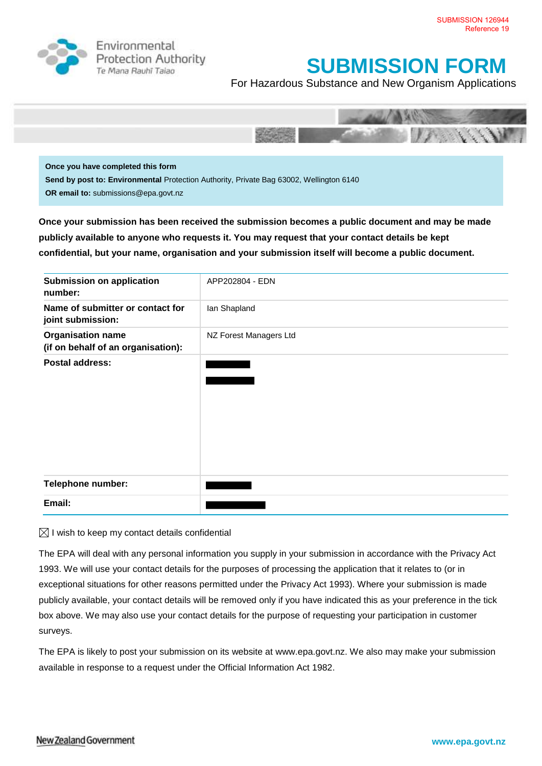

Environmental **Protection Authority** Te Mana Rauhī Talao

## **SUBMISSION FORM**

For Hazardous Substance and New Organism Applications



**Once you have completed this form Send by post to: Environmental** Protection Authority, Private Bag 63002, Wellington 6140 **OR email to:** submissions@epa.govt.nz

**Once your submission has been received the submission becomes a public document and may be made publicly available to anyone who requests it. You may request that your contact details be kept confidential, but your name, organisation and your submission itself will become a public document.** 

| <b>Submission on application</b><br>number:                    | APP202804 - EDN        |
|----------------------------------------------------------------|------------------------|
| Name of submitter or contact for<br>joint submission:          | lan Shapland           |
| <b>Organisation name</b><br>(if on behalf of an organisation): | NZ Forest Managers Ltd |
| <b>Postal address:</b>                                         |                        |
| Telephone number:                                              |                        |
| Email:                                                         |                        |

 $\boxtimes$  I wish to keep my contact details confidential

The EPA will deal with any personal information you supply in your submission in accordance with the Privacy Act 1993. We will use your contact details for the purposes of processing the application that it relates to (or in exceptional situations for other reasons permitted under the Privacy Act 1993). Where your submission is made publicly available, your contact details will be removed only if you have indicated this as your preference in the tick box above. We may also use your contact details for the purpose of requesting your participation in customer surveys.

The EPA is likely to post your submission on its website at [www.epa.govt.nz.](http://www.ermanz.govt.nz/) We also may make your submission available in response to a request under the Official Information Act 1982.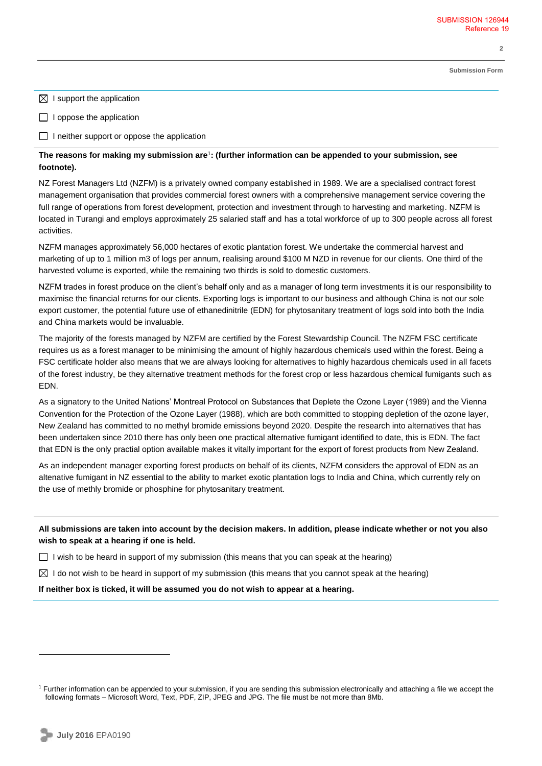**Submission Form**

**2** 

 $\boxtimes$  I support the application

 $\Box$  I oppose the application

 $\Box$  I neither support or oppose the application

## **The reasons for making my submission are**<sup>1</sup> **: (further information can be appended to your submission, see footnote).**

NZ Forest Managers Ltd (NZFM) is a privately owned company established in 1989. We are a specialised contract forest management organisation that provides commercial forest owners with a comprehensive management service covering the full range of operations from forest development, protection and investment through to harvesting and marketing. NZFM is located in Turangi and employs approximately 25 salaried staff and has a total workforce of up to 300 people across all forest activities.

NZFM manages approximately 56,000 hectares of exotic plantation forest. We undertake the commercial harvest and marketing of up to 1 million m3 of logs per annum, realising around \$100 M NZD in revenue for our clients. One third of the harvested volume is exported, while the remaining two thirds is sold to domestic customers.

NZFM trades in forest produce on the client's behalf only and as a manager of long term investments it is our responsibility to maximise the financial returns for our clients. Exporting logs is important to our business and although China is not our sole export customer, the potential future use of ethanedinitrile (EDN) for phytosanitary treatment of logs sold into both the India and China markets would be invaluable.

The majority of the forests managed by NZFM are certified by the Forest Stewardship Council. The NZFM FSC certificate requires us as a forest manager to be minimising the amount of highly hazardous chemicals used within the forest. Being a FSC certificate holder also means that we are always looking for alternatives to highly hazardous chemicals used in all facets of the forest industry, be they alternative treatment methods for the forest crop or less hazardous chemical fumigants such as EDN.

As a signatory to the United Nations' Montreal Protocol on Substances that Deplete the Ozone Layer (1989) and the Vienna Convention for the Protection of the Ozone Layer (1988), which are both committed to stopping depletion of the ozone layer, New Zealand has committed to no methyl bromide emissions beyond 2020. Despite the research into alternatives that has been undertaken since 2010 there has only been one practical alternative fumigant identified to date, this is EDN. The fact that EDN is the only practial option available makes it vitally important for the export of forest products from New Zealand.

As an independent manager exporting forest products on behalf of its clients, NZFM considers the approval of EDN as an altenative fumigant in NZ essential to the ability to market exotic plantation logs to India and China, which currently rely on the use of methly bromide or phosphine for phytosanitary treatment.

**All submissions are taken into account by the decision makers. In addition, please indicate whether or not you also wish to speak at a hearing if one is held.**

I wish to be heard in support of my submission (this means that you can speak at the hearing)

 $\boxtimes$  I do not wish to be heard in support of my submission (this means that you cannot speak at the hearing)

**If neither box is ticked, it will be assumed you do not wish to appear at a hearing.**

 $\overline{a}$ 

<sup>&</sup>lt;sup>1</sup> Further information can be appended to your submission, if you are sending this submission electronically and attaching a file we accept the following formats – Microsoft Word, Text, PDF, ZIP, JPEG and JPG. The file must be not more than 8Mb.